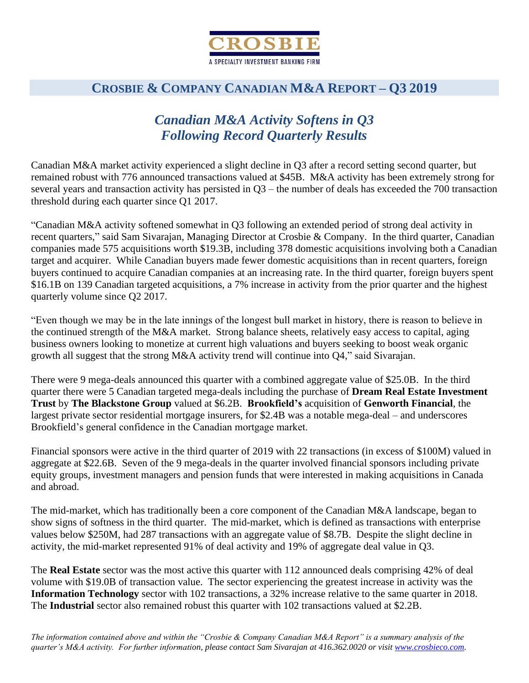

## *Canadian M&A Activity Softens in Q3 Following Record Quarterly Results*

Canadian M&A market activity experienced a slight decline in Q3 after a record setting second quarter, but remained robust with 776 announced transactions valued at \$45B. M&A activity has been extremely strong for several years and transaction activity has persisted in Q3 – the number of deals has exceeded the 700 transaction threshold during each quarter since Q1 2017.

"Canadian M&A activity softened somewhat in Q3 following an extended period of strong deal activity in recent quarters," said Sam Sivarajan, Managing Director at Crosbie & Company. In the third quarter, Canadian companies made 575 acquisitions worth \$19.3B, including 378 domestic acquisitions involving both a Canadian target and acquirer. While Canadian buyers made fewer domestic acquisitions than in recent quarters, foreign buyers continued to acquire Canadian companies at an increasing rate. In the third quarter, foreign buyers spent \$16.1B on 139 Canadian targeted acquisitions, a 7% increase in activity from the prior quarter and the highest quarterly volume since Q2 2017.

"Even though we may be in the late innings of the longest bull market in history, there is reason to believe in the continued strength of the M&A market. Strong balance sheets, relatively easy access to capital, aging business owners looking to monetize at current high valuations and buyers seeking to boost weak organic growth all suggest that the strong M&A activity trend will continue into Q4," said Sivarajan.

There were 9 mega-deals announced this quarter with a combined aggregate value of \$25.0B. In the third quarter there were 5 Canadian targeted mega-deals including the purchase of **Dream Real Estate Investment Trust** by **The Blackstone Group** valued at \$6.2B. **Brookfield's** acquisition of **Genworth Financial**, the largest private sector residential mortgage insurers, for \$2.4B was a notable mega-deal – and underscores Brookfield's general confidence in the Canadian mortgage market.

Financial sponsors were active in the third quarter of 2019 with 22 transactions (in excess of \$100M) valued in aggregate at \$22.6B. Seven of the 9 mega-deals in the quarter involved financial sponsors including private equity groups, investment managers and pension funds that were interested in making acquisitions in Canada and abroad.

The mid-market, which has traditionally been a core component of the Canadian M&A landscape, began to show signs of softness in the third quarter. The mid-market, which is defined as transactions with enterprise values below \$250M, had 287 transactions with an aggregate value of \$8.7B. Despite the slight decline in activity, the mid-market represented 91% of deal activity and 19% of aggregate deal value in Q3.

The **Real Estate** sector was the most active this quarter with 112 announced deals comprising 42% of deal volume with \$19.0B of transaction value. The sector experiencing the greatest increase in activity was the **Information Technology** sector with 102 transactions, a 32% increase relative to the same quarter in 2018. The **Industrial** sector also remained robust this quarter with 102 transactions valued at \$2.2B.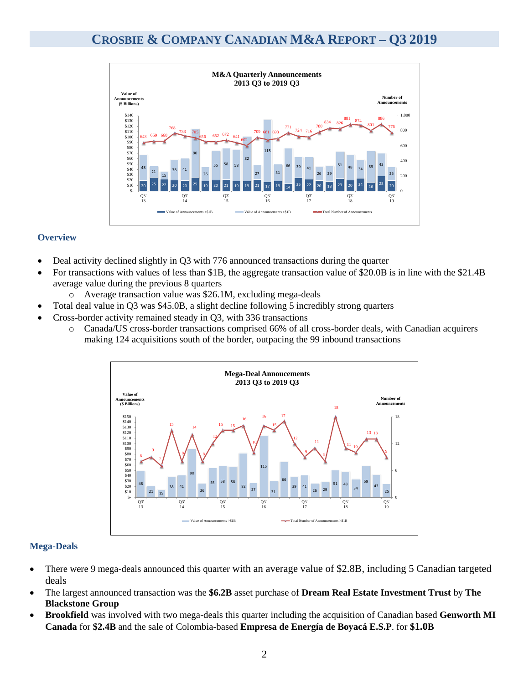

#### **Overview**

- Deal activity declined slightly in Q3 with 776 announced transactions during the quarter
- For transactions with values of less than \$1B, the aggregate transaction value of \$20.0B is in line with the \$21.4B average value during the previous 8 quarters
	- o Average transaction value was \$26.1M, excluding mega-deals
- Total deal value in Q3 was \$45.0B, a slight decline following 5 incredibly strong quarters
- Cross-border activity remained steady in Q3, with 336 transactions
	- o Canada/US cross-border transactions comprised 66% of all cross-border deals, with Canadian acquirers making 124 acquisitions south of the border, outpacing the 99 inbound transactions



#### **Mega-Deals**

- There were 9 mega-deals announced this quarter with an average value of \$2.8B, including 5 Canadian targeted deals
- The largest announced transaction was the **\$6.2B** asset purchase of **Dream Real Estate Investment Trust** by **The Blackstone Group**
- **Brookfield** was involved with two mega-deals this quarter including the acquisition of Canadian based **Genworth MI Canada** for **\$2.4B** and the sale of Colombia-based **Empresa de Energía de Boyacá E.S.P**. for **\$1.0B**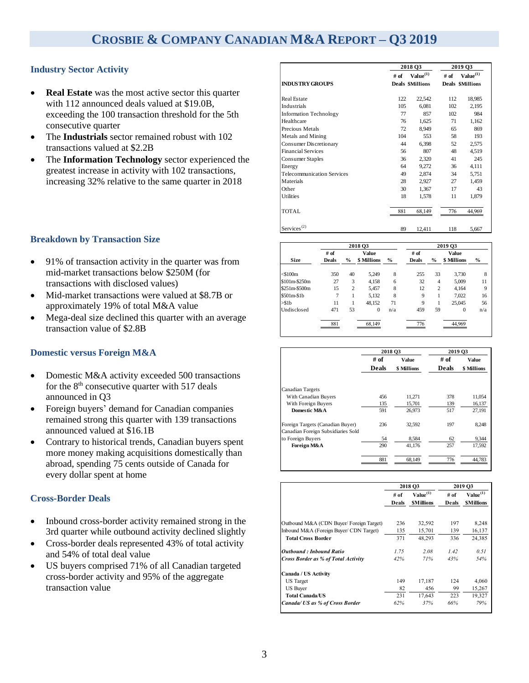#### **Industry Sector Activity**

- **Real Estate** was the most active sector this quarter with 112 announced deals valued at \$19.0B, exceeding the 100 transaction threshold for the 5th consecutive quarter
- The **Industrials** sector remained robust with 102 transactions valued at \$2.2B
- The **Information Technology** sector experienced the greatest increase in activity with 102 transactions, increasing 32% relative to the same quarter in 2018

#### **Breakdown by Transaction Size**

- 91% of transaction activity in the quarter was from mid-market transactions below \$250M (for transactions with disclosed values)
- Mid-market transactions were valued at \$8.7B or approximately 19% of total M&A value
- Mega-deal size declined this quarter with an average transaction value of \$2.8B

#### **Domestic versus Foreign M&A**

- Domestic M&A activity exceeded 500 transactions for the  $8<sup>th</sup>$  consecutive quarter with 517 deals announced in Q3
- Foreign buyers' demand for Canadian companies remained strong this quarter with 139 transactions announced valued at \$16.1B
- Contrary to historical trends, Canadian buyers spent more money making acquisitions domestically than abroad, spending 75 cents outside of Canada for every dollar spent at home

#### **Cross-Border Deals**

- Inbound cross-border activity remained strong in the 3rd quarter while outbound activity declined slightly
- Cross-border deals represented 43% of total activity and 54% of total deal value
- US buyers comprised 71% of all Canadian targeted cross-border activity and 95% of the aggregate transaction value

|                                   | 2018 Q3 |                         |        | 2019 03                 |
|-----------------------------------|---------|-------------------------|--------|-------------------------|
|                                   | $#$ of  | Value <sup>(1)</sup>    | $#$ of | Value <sup>(1)</sup>    |
| <b>INDUSTRY GROUPS</b>            |         | <b>Deals \$Millions</b> |        | <b>Deals \$Millions</b> |
| <b>Real Estate</b>                | 122     | 22,542                  | 112    | 18,985                  |
| Industrials                       | 105     | 6,081                   | 102    | 2,195                   |
| <b>Information Technology</b>     | 77      | 857                     | 102    | 984                     |
| Healthcare                        | 76      | 1,625                   | 71     | 1,162                   |
| Precious Metals                   | 72      | 8,949                   | 65     | 869                     |
| Metals and Mining                 | 104     | 553                     | 58     | 193                     |
| Consumer Discretionary            | 44      | 6,398                   | 52     | 2,575                   |
| <b>Financial Services</b>         | 56      | 807                     | 48     | 4,519                   |
| Consumer Staples                  | 36      | 2,320                   | 41     | 245                     |
| Energy                            | 64      | 9,272                   | 36     | 4,111                   |
| <b>Telecommunication Services</b> | 49      | 2,874                   | 34     | 5,751                   |
| Materials                         | 28      | 2,927                   | 27     | 1,459                   |
| Other                             | 30      | 1,367                   | 17     | 43                      |
| <b>Utilities</b>                  | 18      | 1,578                   | 11     | 1,879                   |
| TOTAL                             | 881     | 68,149                  | 776    | 44,969                  |
| Services <sup>(2)</sup>           | 89      | 12,411                  | 118    | 5,667                   |

|               |              | 2018 03        |             | 2019 Q3 |              |                |             |               |
|---------------|--------------|----------------|-------------|---------|--------------|----------------|-------------|---------------|
|               | $#$ of       | Value          |             |         | # of         |                |             |               |
| <b>Size</b>   | <b>Deals</b> | $\frac{9}{6}$  | \$ Millions | $\%$    | <b>Deals</b> | $\frac{0}{0}$  | \$ Millions | $\frac{0}{0}$ |
| $<$ \$100 $m$ | 350          | 40             | 5,249       | 8       | 255          | 33             | 3.730       | 8             |
| \$101m-\$250m | 27           | 3              | 4.158       | 6       | 32           | $\overline{4}$ | 5,009       | 11            |
| \$251m-\$500m | 15           | $\overline{2}$ | 5,457       | 8       | 12           | $\overline{2}$ | 4.164       | 9             |
| $$501m-$1b$   | 7            | 1              | 5,132       | 8       | 9            | 1              | 7,022       | 16            |
| $>$ \$1b      | 11           |                | 48,152      | 71      | 9            | 1              | 25,045      | 56            |
| Undisclosed   | 471          | 53             | $\Omega$    | n/a     | 459          | 59             | $\theta$    | n/a           |
|               | 881          |                | 68.149      |         | 776          |                | 44.969      |               |

|                                                                        | 2018 03              |             | 2019 O3      |             |  |
|------------------------------------------------------------------------|----------------------|-------------|--------------|-------------|--|
|                                                                        | # of<br><b>Value</b> |             | # of         | Value       |  |
|                                                                        | <b>Deals</b>         | \$ Millions | <b>Deals</b> | \$ Millions |  |
|                                                                        |                      |             |              |             |  |
| <b>Canadian Targets</b>                                                |                      |             |              |             |  |
| With Canadian Buyers                                                   | 456                  | 11,271      | 378          | 11,054      |  |
| With Foreign Buyers                                                    | 135                  | 15,701      | 139          | 16,137      |  |
| Domestic M&A                                                           | 591                  | 26.973      | 517          | 27,191      |  |
| Foreign Targets (Canadian Buyer)<br>Canadian Foreign Subsidiaries Sold | 236                  | 32.592      | 197          | 8,248       |  |
| to Foreign Buyers                                                      | 54                   | 8,584       | 62           | 9,344       |  |
| Foreign M&A                                                            | 290                  | 41.176      | 257          | 17,592      |  |
|                                                                        | 881                  | 68.149      | 776          | 44.783      |  |

|                                            | 2018 Q3 |                  |        | 2019 O <sub>3</sub>  |  |
|--------------------------------------------|---------|------------------|--------|----------------------|--|
|                                            | # of    | $Value^{(1)}$    | $#$ of | Value <sup>(1)</sup> |  |
|                                            | Deals   | <b>SMillions</b> | Deals  | <b>SMillions</b>     |  |
| Outbound M&A (CDN Buyer/Foreign Target)    | 236     | 32,592           | 197    | 8,248                |  |
| Inbound M&A (Foreign Buyer/ CDN Target)    | 135     | 15,701           | 139    | 16,137               |  |
| <b>Total Cross Border</b>                  | 371     | 48,293           | 336    | 24,385               |  |
| Outbound : Inbound Ratio                   | 1.75    | 2.08             | 1.42   | 0.51                 |  |
| <b>Cross Border as % of Total Activity</b> | 42%     | 71%              | 43%    | 54%                  |  |
| Canada / US Activity                       |         |                  |        |                      |  |
| <b>US</b> Target                           | 149     | 17,187           | 124    | 4,060                |  |
| <b>US Buyer</b>                            | 82      | 456              | 99     | 15,267               |  |
| <b>Total Canada/US</b>                     | 231     | 17,643           | 223    | 19,327               |  |
| Canada/ US as % of Cross Border            | 62%     | 37%              | 66%    | 79%                  |  |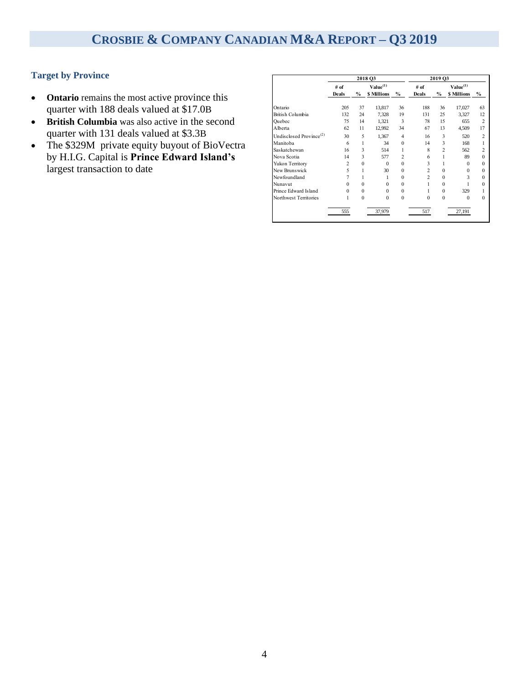#### **Target by Province**

- **Ontario** remains the most active province this quarter with 188 deals valued at \$17.0B
- **British Columbia** was also active in the second quarter with 131 deals valued at \$3.3B
- The \$329M private equity buyout of BioVectra by H.I.G. Capital is **Prince Edward Island's**  largest transaction to date

| # of           |          | Value <sup>(1)</sup> |                | # of           |                | Value <sup>(1)</sup> |                |
|----------------|----------|----------------------|----------------|----------------|----------------|----------------------|----------------|
| <b>Deals</b>   | $\%$     | <b>\$ Millions</b>   | %              | Deals          | $\%$           | <b>\$ Millions</b>   | $\frac{9}{6}$  |
| 205            | 37       | 13,817               | 36             | 188            | 36             | 17,027               | 63             |
| 132            | 24       | 7,328                | 19             | 131            | 25             | 3,327                | 12             |
| 75             | 14       | 1,321                | 3              | 78             | 15             | 655                  | $\overline{2}$ |
| 62             | 11       | 12,992               | 34             | 67             | 13             | 4,509                | 17             |
| 30             | 5        | 1,367                | $\overline{4}$ | 16             | 3              | 520                  | $\overline{c}$ |
| 6              | 1        | 34                   | $\Omega$       | 14             | 3              | 168                  | 1              |
| 16             | 3        | 514                  | 1              | 8              | $\overline{c}$ | 562                  | 2              |
| 14             | 3        | 577                  | 2              | 6              | 1              | 89                   | $\Omega$       |
| $\overline{c}$ | $\Omega$ | $\theta$             | $\Omega$       | 3              |                | $\Omega$             | $\Omega$       |
| 5              | 1        | 30                   | $\Omega$       | $\overline{c}$ | $\Omega$       | $\Omega$             | $\Omega$       |
| 7              | 1        | 1                    | $\Omega$       | $\mathfrak{D}$ | $\theta$       | 3                    | $\Omega$       |
| o              | $\Omega$ | $\Omega$             | $\Omega$       |                | $\Omega$       |                      | $\Omega$       |
| $\Omega$       | $\Omega$ | $\Omega$             | $\Omega$       |                | $\Omega$       | 329                  |                |
|                | $\theta$ | $\theta$             | $\theta$       | $\Omega$       | $\theta$       | $\Omega$             | $\Omega$       |
| 555            |          | 37,979               |                | 517            |                | 27,191               |                |
|                |          |                      | 2018 O3        |                |                |                      | 2019 Q3        |